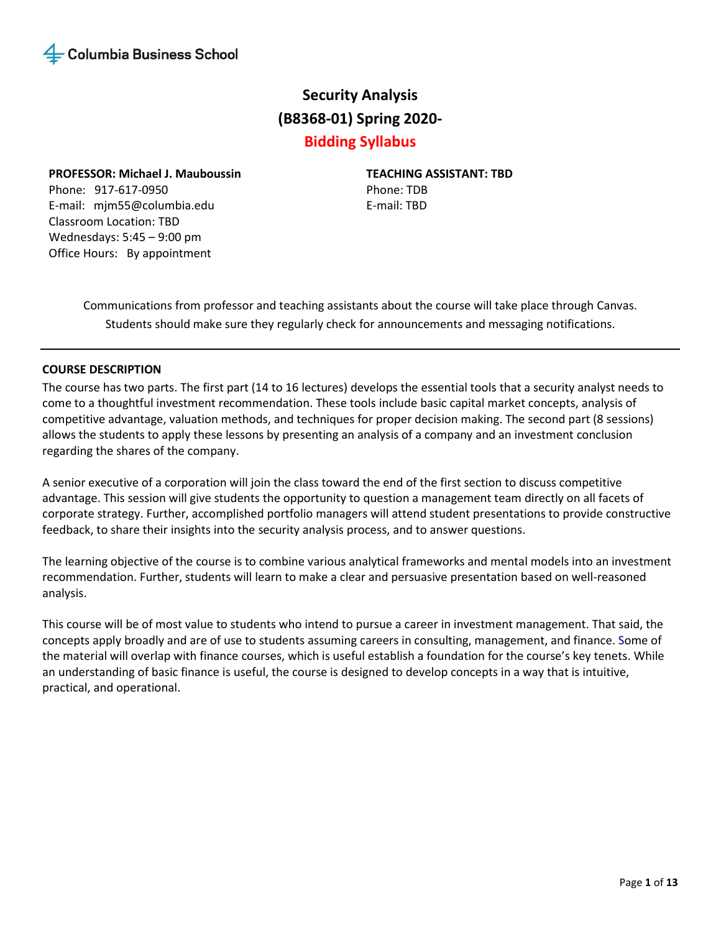

# **Security Analysis (B8368-01) Spring 2020-**

## **Bidding Syllabus**

**PROFESSOR: Michael J. Mauboussin** 

Phone: 917-617-0950 E-mail: mjm55@columbia.edu Classroom Location: TBD Wednesdays: 5:45 – 9:00 pm Office Hours: By appointment

**TEACHING ASSISTANT: TBD** Phone: TDB E-mail: TBD

Communications from professor and teaching assistants about the course will take place through Canvas. Students should make sure they regularly check for announcements and messaging notifications.

### **COURSE DESCRIPTION**

The course has two parts. The first part (14 to 16 lectures) develops the essential tools that a security analyst needs to come to a thoughtful investment recommendation. These tools include basic capital market concepts, analysis of competitive advantage, valuation methods, and techniques for proper decision making. The second part (8 sessions) allows the students to apply these lessons by presenting an analysis of a company and an investment conclusion regarding the shares of the company.

A senior executive of a corporation will join the class toward the end of the first section to discuss competitive advantage. This session will give students the opportunity to question a management team directly on all facets of corporate strategy. Further, accomplished portfolio managers will attend student presentations to provide constructive feedback, to share their insights into the security analysis process, and to answer questions.

The learning objective of the course is to combine various analytical frameworks and mental models into an investment recommendation. Further, students will learn to make a clear and persuasive presentation based on well-reasoned analysis.

This course will be of most value to students who intend to pursue a career in investment management. That said, the concepts apply broadly and are of use to students assuming careers in consulting, management, and finance. Some of the material will overlap with finance courses, which is useful establish a foundation for the course's key tenets. While an understanding of basic finance is useful, the course is designed to develop concepts in a way that is intuitive, practical, and operational.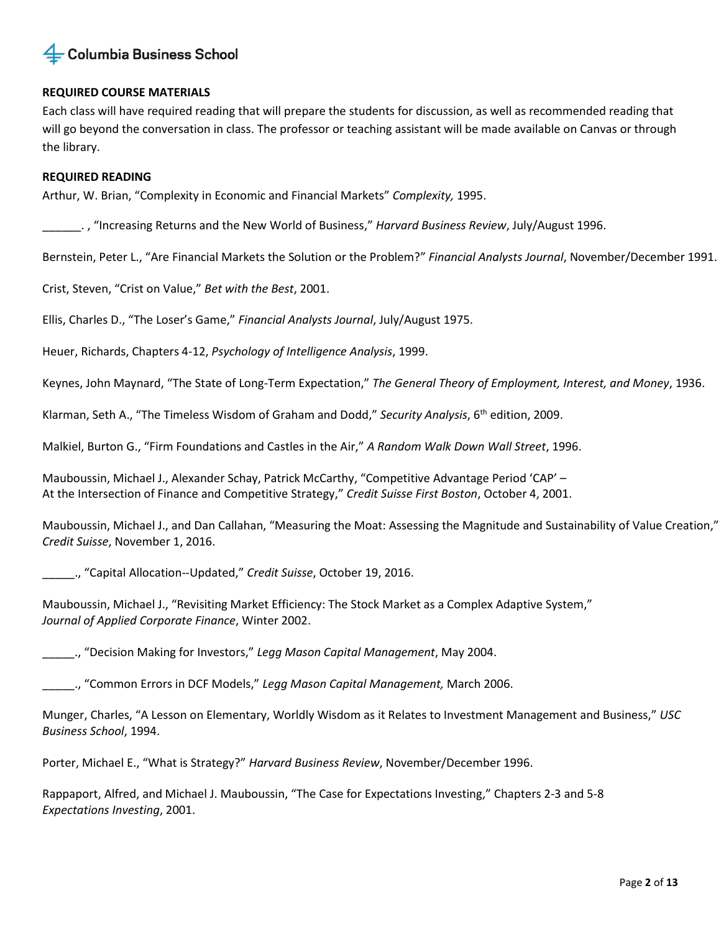

### **REQUIRED COURSE MATERIALS**

Each class will have required reading that will prepare the students for discussion, as well as recommended reading that will go beyond the conversation in class. The professor or teaching assistant will be made available on Canvas or through the library.

### **REQUIRED READING**

Arthur, W. Brian, "Complexity in Economic and Financial Markets" *Complexity,* 1995.

\_\_\_\_\_\_. , "Increasing Returns and the New World of Business," *Harvard Business Review*, July/August 1996.

Bernstein, Peter L., "Are Financial Markets the Solution or the Problem?" *Financial Analysts Journal*, November/December 1991.

Crist, Steven, "Crist on Value," *Bet with the Best*, 2001.

Ellis, Charles D., "The Loser's Game," *Financial Analysts Journal*, July/August 1975.

Heuer, Richards, Chapters 4-12, *Psychology of Intelligence Analysis*, 1999.

Keynes, John Maynard, "The State of Long-Term Expectation," *The General Theory of Employment, Interest, and Money*, 1936.

Klarman, Seth A., "The Timeless Wisdom of Graham and Dodd," *Security Analysis*, 6th edition, 2009.

Malkiel, Burton G., "Firm Foundations and Castles in the Air," *A Random Walk Down Wall Street*, 1996.

Mauboussin, Michael J., Alexander Schay, Patrick McCarthy, "Competitive Advantage Period 'CAP' – At the Intersection of Finance and Competitive Strategy," *Credit Suisse First Boston*, October 4, 2001.

Mauboussin, Michael J., and Dan Callahan, "Measuring the Moat: Assessing the Magnitude and Sustainability of Value Creation," *Credit Suisse*, November 1, 2016.

\_\_\_\_\_., "Capital Allocation--Updated," *Credit Suisse*, October 19, 2016.

Mauboussin, Michael J., "Revisiting Market Efficiency: The Stock Market as a Complex Adaptive System," *Journal of Applied Corporate Finance*, Winter 2002.

\_\_\_\_\_., "Decision Making for Investors," *Legg Mason Capital Management*, May 2004.

\_\_\_\_\_., "Common Errors in DCF Models," *Legg Mason Capital Management,* March 2006.

Munger, Charles, "A Lesson on Elementary, Worldly Wisdom as it Relates to Investment Management and Business," *USC Business School*, 1994.

Porter, Michael E., "What is Strategy?" *Harvard Business Review*, November/December 1996.

Rappaport, Alfred, and Michael J. Mauboussin, "The Case for Expectations Investing," Chapters 2-3 and 5-8 *Expectations Investing*, 2001.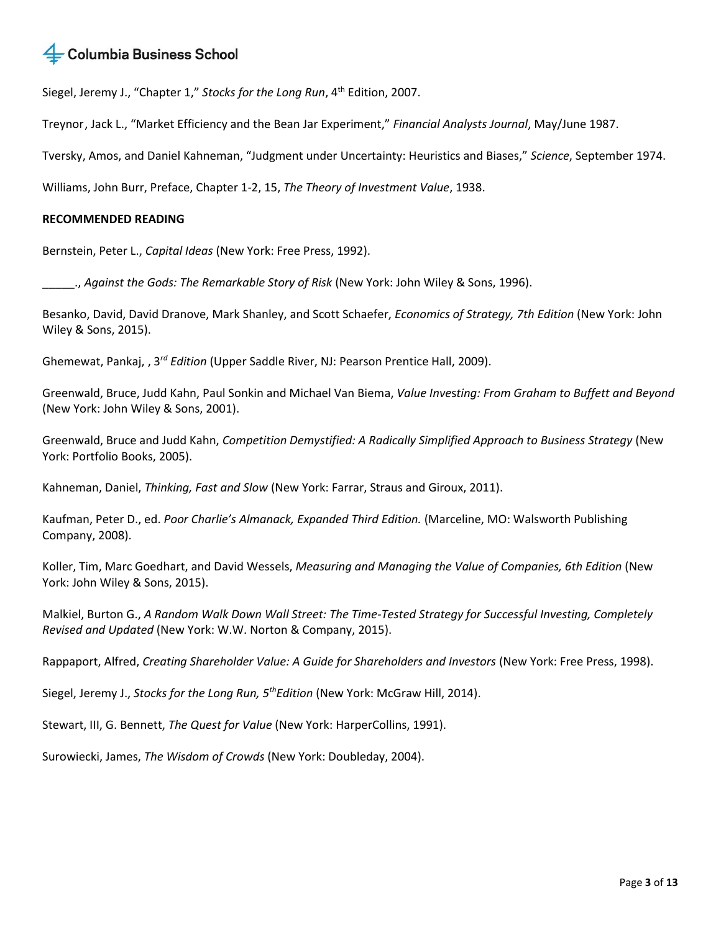Siegel, Jeremy J., "Chapter 1," Stocks for the Long Run, 4<sup>th</sup> Edition. 2007.

Treynor , Jack L., "Market Efficiency and the Bean Jar Experiment," *Financial Analysts Journal*, May/June 1987.

Tversky, Amos, and Daniel Kahneman, "Judgment under Uncertainty: Heuristics and Biases," *Science*, September 1974.

Williams, John Burr, Preface, Chapter 1-2, 15, *The Theory of Investment Value*, 1938.

### **RECOMMENDED READING**

Bernstein, Peter L., *Capital Ideas* (New York: Free Press, 1992).

\_\_\_\_\_., *Against the Gods: The Remarkable Story of Risk* (New York: John Wiley & Sons, 1996).

Besanko, David, David Dranove, Mark Shanley, and Scott Schaefer, *Economics of Strategy, 7th Edition* (New York: John Wiley & Sons, 2015).

Ghemewat, Pankaj, , 3*rd Edition* (Upper Saddle River, NJ: Pearson Prentice Hall, 2009).

Greenwald, Bruce, Judd Kahn, Paul Sonkin and Michael Van Biema, *Value Inve*s*ting: From Graham to Buffett and Beyond*  (New York: John Wiley & Sons, 2001).

Greenwald, Bruce and Judd Kahn, *Competition Demystified: A Radically Simplified Approach to Business Strategy* (New York: Portfolio Books, 2005).

Kahneman, Daniel, *Thinking, Fast and Slow* (New York: Farrar, Straus and Giroux, 2011).

Kaufman, Peter D., ed. *Poor Charlie's Almanack, Expanded Third Edition.* (Marceline, MO: Walsworth Publishing Company, 2008).

Koller, Tim, Marc Goedhart, and David Wessels, *Measuring and Managing the Value of Companies, 6th Edition* (New York: John Wiley & Sons, 2015).

Malkiel, Burton G., *A Random Walk Down Wall Street: The Time-Tested Strategy for Successful Investing, Completely Revised and Updated* (New York: W.W. Norton & Company, 2015).

Rappaport, Alfred, *Creating Shareholder Value: A Guide for Shareholders and Investors* (New York: Free Press, 1998).

Siegel, Jeremy J., *Stocks for the Long Run, 5thEdition* (New York: McGraw Hill, 2014).

Stewart, III, G. Bennett, *The Quest for Value* (New York: HarperCollins, 1991).

Surowiecki, James, *The Wisdom of Crowds* (New York: Doubleday, 2004).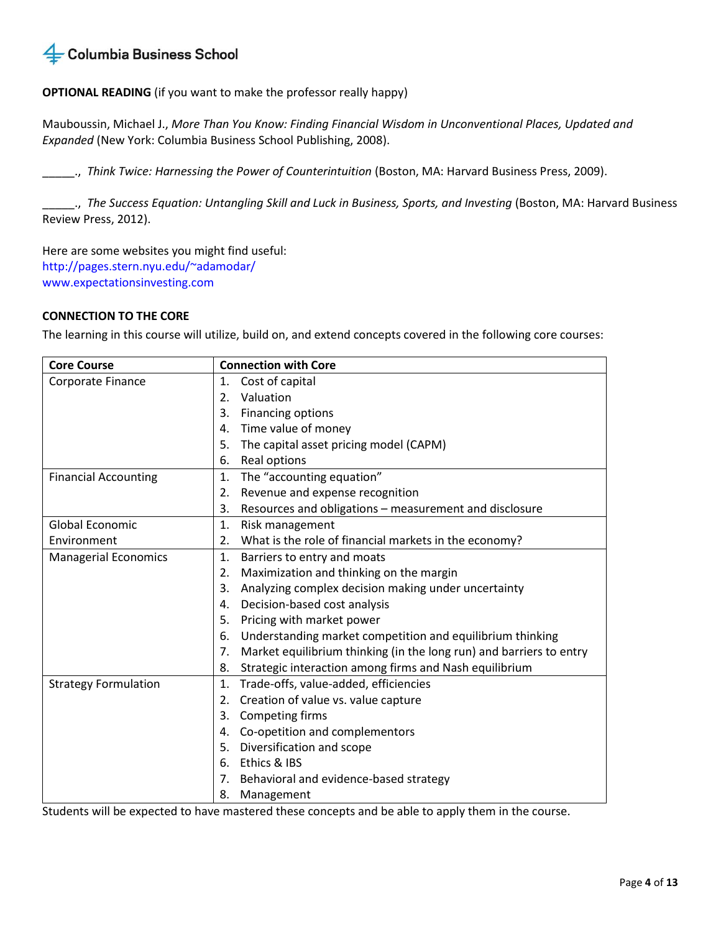### **OPTIONAL READING** (if you want to make the professor really happy)

Mauboussin, Michael J., *More Than You Know: Finding Financial Wisdom in Unconventional Places, Updated and Expanded* (New York: Columbia Business School Publishing, 2008).

\_\_\_\_\_., *Think Twice: Harnessing the Power of Counterintuition* (Boston, MA: Harvard Business Press, 2009).

\_\_\_\_\_., *The Success Equation: Untangling Skill and Luck in Business, Sports, and Investing* (Boston, MA: Harvard Business Review Press, 2012).

Here are some websites you might find useful: http://pages.stern.nyu.edu/~adamodar/ www.expectationsinvesting.com

### **CONNECTION TO THE CORE**

The learning in this course will utilize, build on, and extend concepts covered in the following core courses:

| <b>Core Course</b>          | <b>Connection with Core</b>                                               |  |  |
|-----------------------------|---------------------------------------------------------------------------|--|--|
| Corporate Finance           | Cost of capital<br>1.                                                     |  |  |
|                             | Valuation<br>2.                                                           |  |  |
|                             | Financing options<br>3.                                                   |  |  |
|                             | Time value of money<br>4.                                                 |  |  |
|                             | The capital asset pricing model (CAPM)<br>5.                              |  |  |
|                             | Real options<br>6.                                                        |  |  |
| <b>Financial Accounting</b> | The "accounting equation"<br>1.                                           |  |  |
|                             | Revenue and expense recognition<br>2.                                     |  |  |
|                             | Resources and obligations - measurement and disclosure<br>3.              |  |  |
| <b>Global Economic</b>      | 1.<br>Risk management                                                     |  |  |
| Environment                 | What is the role of financial markets in the economy?<br>2.               |  |  |
| <b>Managerial Economics</b> | 1.<br>Barriers to entry and moats                                         |  |  |
|                             | Maximization and thinking on the margin<br>2.                             |  |  |
|                             | Analyzing complex decision making under uncertainty<br>3.                 |  |  |
|                             | Decision-based cost analysis<br>4.                                        |  |  |
|                             | 5.<br>Pricing with market power                                           |  |  |
|                             | Understanding market competition and equilibrium thinking<br>6.           |  |  |
|                             | Market equilibrium thinking (in the long run) and barriers to entry<br>7. |  |  |
|                             | Strategic interaction among firms and Nash equilibrium<br>8.              |  |  |
| <b>Strategy Formulation</b> | Trade-offs, value-added, efficiencies<br>1.                               |  |  |
|                             | Creation of value vs. value capture<br>2.                                 |  |  |
|                             | 3.<br>Competing firms                                                     |  |  |
|                             | Co-opetition and complementors<br>4.                                      |  |  |
|                             | Diversification and scope<br>5.                                           |  |  |
|                             | Ethics & IBS<br>6.                                                        |  |  |
|                             | Behavioral and evidence-based strategy<br>7.                              |  |  |
|                             | 8.<br>Management                                                          |  |  |

Students will be expected to have mastered these concepts and be able to apply them in the course.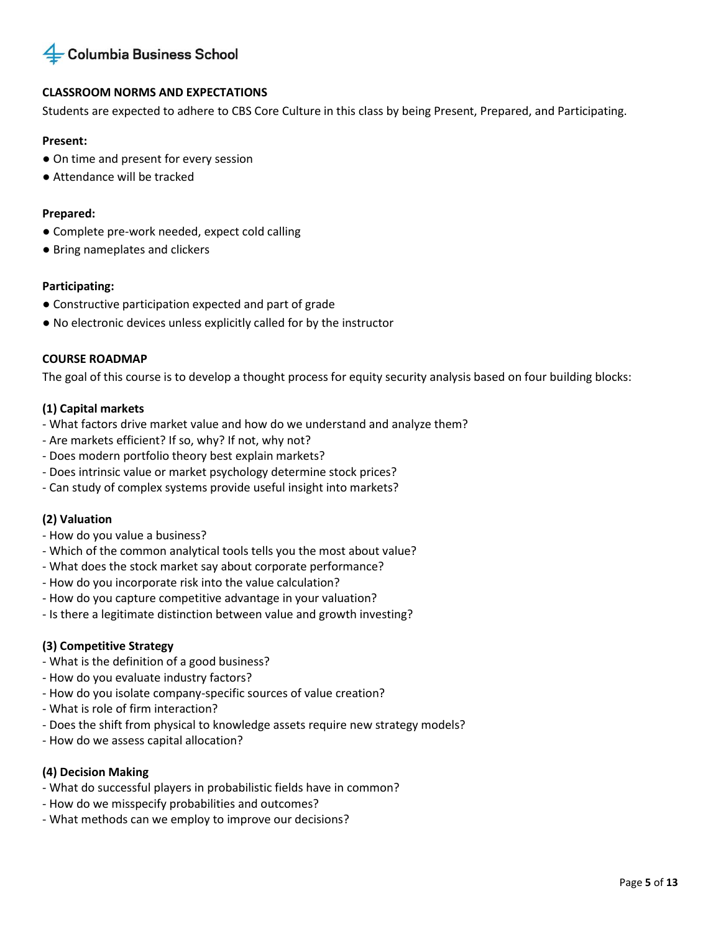

### **CLASSROOM NORMS AND EXPECTATIONS**

Students are expected to adhere to CBS Core Culture in this class by being Present, Prepared, and Participating.

### **Present:**

- On time and present for every session
- Attendance will be tracked

### **Prepared:**

- Complete pre-work needed, expect cold calling
- Bring nameplates and clickers

### **Participating:**

- Constructive participation expected and part of grade
- No electronic devices unless explicitly called for by the instructor

### **COURSE ROADMAP**

The goal of this course is to develop a thought process for equity security analysis based on four building blocks:

### **(1) Capital markets**

- What factors drive market value and how do we understand and analyze them?
- Are markets efficient? If so, why? If not, why not?
- Does modern portfolio theory best explain markets?
- Does intrinsic value or market psychology determine stock prices?
- Can study of complex systems provide useful insight into markets?

### **(2) Valuation**

- How do you value a business?
- Which of the common analytical tools tells you the most about value?
- What does the stock market say about corporate performance?
- How do you incorporate risk into the value calculation?
- How do you capture competitive advantage in your valuation?
- Is there a legitimate distinction between value and growth investing?

### **(3) Competitive Strategy**

- What is the definition of a good business?
- How do you evaluate industry factors?
- How do you isolate company-specific sources of value creation?
- What is role of firm interaction?
- Does the shift from physical to knowledge assets require new strategy models?
- How do we assess capital allocation?

### **(4) Decision Making**

- What do successful players in probabilistic fields have in common?
- How do we misspecify probabilities and outcomes?
- What methods can we employ to improve our decisions?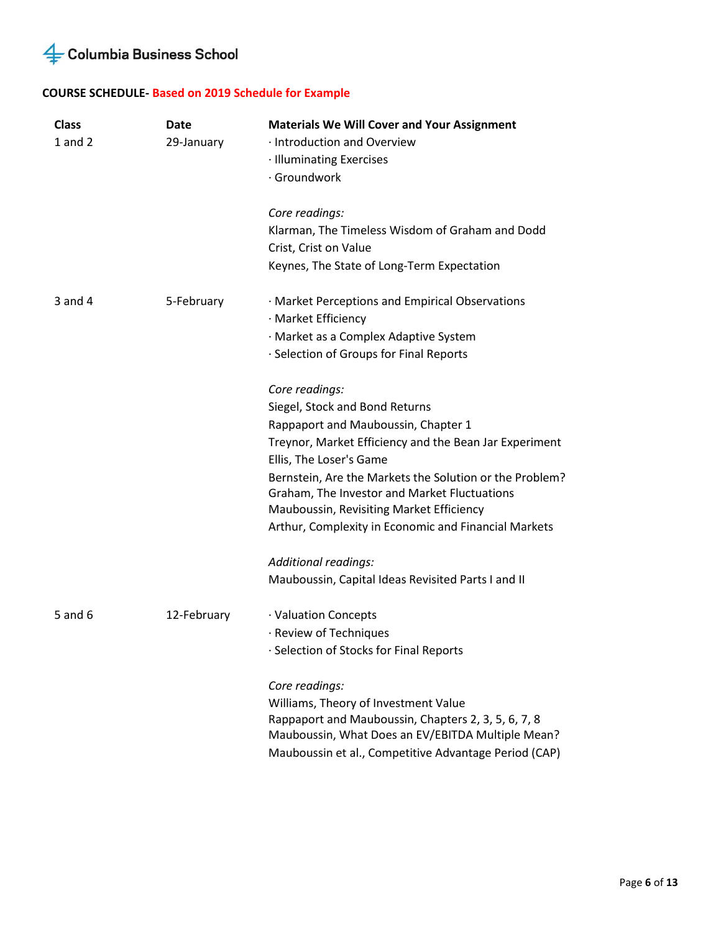## **COURSE SCHEDULE- Based on 2019 Schedule for Example**

| <b>Class</b><br>$1$ and $2$ | Date<br>29-January | <b>Materials We Will Cover and Your Assignment</b><br>· Introduction and Overview<br>· Illuminating Exercises<br>· Groundwork<br>Core readings:<br>Klarman, The Timeless Wisdom of Graham and Dodd<br>Crist, Crist on Value<br>Keynes, The State of Long-Term Expectation                                                                                                                                           |
|-----------------------------|--------------------|---------------------------------------------------------------------------------------------------------------------------------------------------------------------------------------------------------------------------------------------------------------------------------------------------------------------------------------------------------------------------------------------------------------------|
| $3$ and $4$                 | 5-February         | · Market Perceptions and Empirical Observations<br>· Market Efficiency<br>· Market as a Complex Adaptive System<br>· Selection of Groups for Final Reports                                                                                                                                                                                                                                                          |
|                             |                    | Core readings:<br>Siegel, Stock and Bond Returns<br>Rappaport and Mauboussin, Chapter 1<br>Treynor, Market Efficiency and the Bean Jar Experiment<br>Ellis, The Loser's Game<br>Bernstein, Are the Markets the Solution or the Problem?<br>Graham, The Investor and Market Fluctuations<br>Mauboussin, Revisiting Market Efficiency<br>Arthur, Complexity in Economic and Financial Markets<br>Additional readings: |
| 5 and 6                     | 12-February        | Mauboussin, Capital Ideas Revisited Parts I and II<br>· Valuation Concepts<br>· Review of Techniques<br>· Selection of Stocks for Final Reports                                                                                                                                                                                                                                                                     |
|                             |                    | Core readings:<br>Williams, Theory of Investment Value<br>Rappaport and Mauboussin, Chapters 2, 3, 5, 6, 7, 8<br>Mauboussin, What Does an EV/EBITDA Multiple Mean?<br>Mauboussin et al., Competitive Advantage Period (CAP)                                                                                                                                                                                         |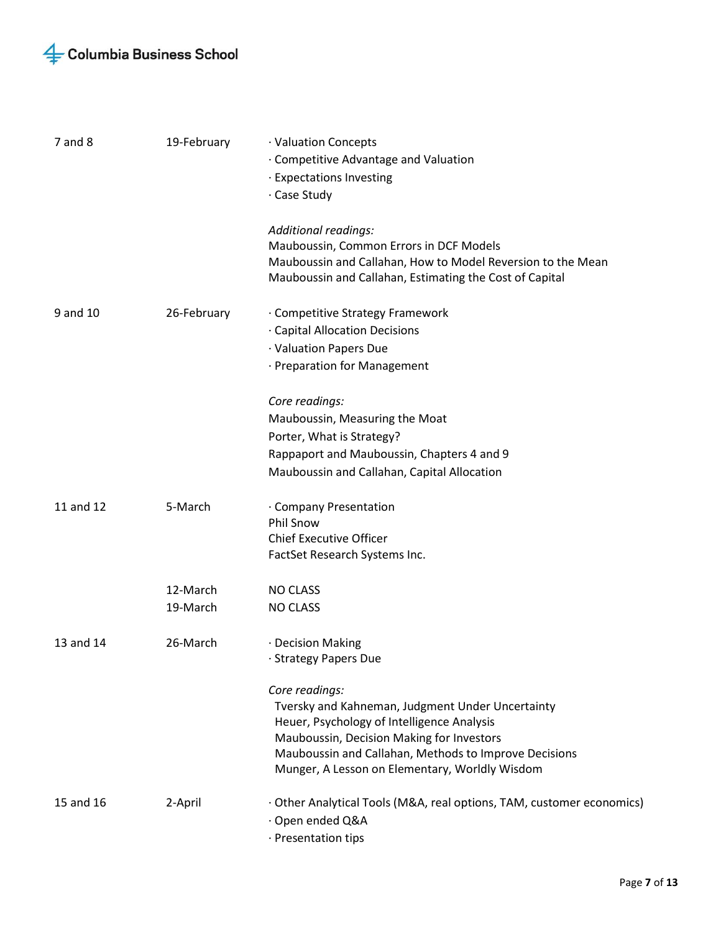| $7$ and $8$ | 19-February          | · Valuation Concepts<br>· Competitive Advantage and Valuation<br>· Expectations Investing<br>· Case Study                                                                                                                                                                |
|-------------|----------------------|--------------------------------------------------------------------------------------------------------------------------------------------------------------------------------------------------------------------------------------------------------------------------|
|             |                      | Additional readings:<br>Mauboussin, Common Errors in DCF Models<br>Mauboussin and Callahan, How to Model Reversion to the Mean<br>Mauboussin and Callahan, Estimating the Cost of Capital                                                                                |
| 9 and 10    | 26-February          | · Competitive Strategy Framework<br>· Capital Allocation Decisions<br>· Valuation Papers Due<br>· Preparation for Management                                                                                                                                             |
|             |                      | Core readings:<br>Mauboussin, Measuring the Moat<br>Porter, What is Strategy?<br>Rappaport and Mauboussin, Chapters 4 and 9<br>Mauboussin and Callahan, Capital Allocation                                                                                               |
| 11 and 12   | 5-March              | · Company Presentation<br><b>Phil Snow</b><br><b>Chief Executive Officer</b><br>FactSet Research Systems Inc.                                                                                                                                                            |
|             | 12-March<br>19-March | <b>NO CLASS</b><br><b>NO CLASS</b>                                                                                                                                                                                                                                       |
| 13 and 14   | 26-March             | · Decision Making<br>· Strategy Papers Due                                                                                                                                                                                                                               |
|             |                      | Core readings:<br>Tversky and Kahneman, Judgment Under Uncertainty<br>Heuer, Psychology of Intelligence Analysis<br>Mauboussin, Decision Making for Investors<br>Mauboussin and Callahan, Methods to Improve Decisions<br>Munger, A Lesson on Elementary, Worldly Wisdom |
| 15 and 16   | 2-April              | · Other Analytical Tools (M&A, real options, TAM, customer economics)<br>· Open ended Q&A<br>· Presentation tips                                                                                                                                                         |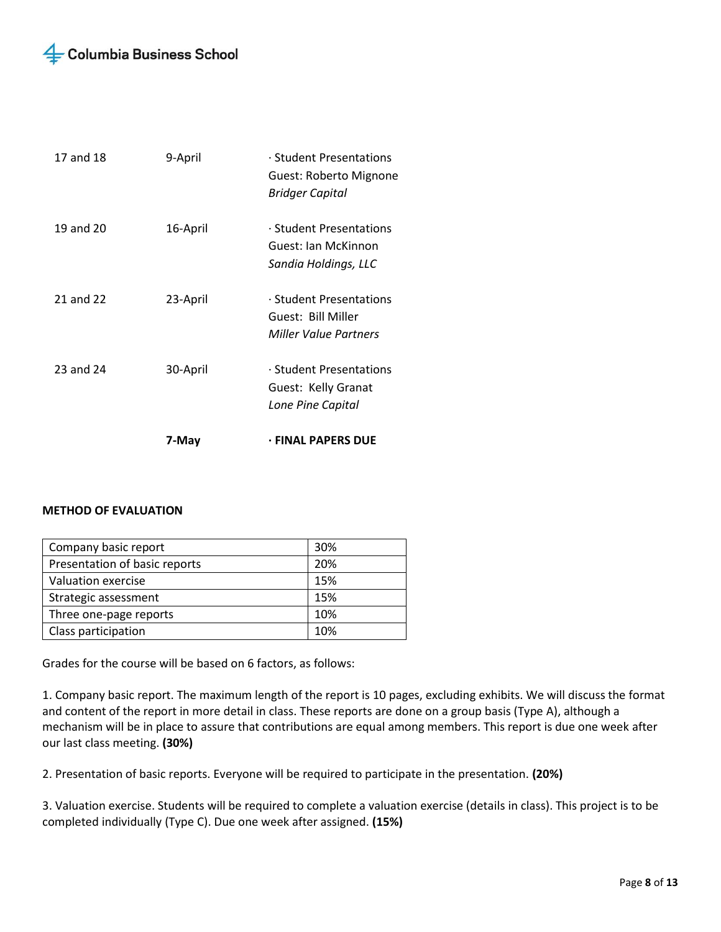|           | 7-May    | <b>· FINAL PAPERS DUE</b>                                                     |
|-----------|----------|-------------------------------------------------------------------------------|
|           |          | Lone Pine Capital                                                             |
| 23 and 24 | 30-April | · Student Presentations<br>Guest: Kelly Granat                                |
| 21 and 22 | 23-April | · Student Presentations<br>Guest: Bill Miller<br><b>Miller Value Partners</b> |
| 19 and 20 | 16-April | · Student Presentations<br>Guest: Jan McKinnon<br>Sandia Holdings, LLC        |
| 17 and 18 | 9-April  | · Student Presentations<br>Guest: Roberto Mignone<br><b>Bridger Capital</b>   |

### **METHOD OF EVALUATION**

| Company basic report          | 30% |
|-------------------------------|-----|
| Presentation of basic reports | 20% |
| Valuation exercise            | 15% |
| Strategic assessment          | 15% |
| Three one-page reports        | 10% |
| Class participation           | 10% |

Grades for the course will be based on 6 factors, as follows:

1. Company basic report. The maximum length of the report is 10 pages, excluding exhibits. We will discuss the format and content of the report in more detail in class. These reports are done on a group basis (Type A), although a mechanism will be in place to assure that contributions are equal among members. This report is due one week after our last class meeting. **(30%)**

2. Presentation of basic reports. Everyone will be required to participate in the presentation. **(20%)**

3. Valuation exercise. Students will be required to complete a valuation exercise (details in class). This project is to be completed individually (Type C). Due one week after assigned. **(15%)**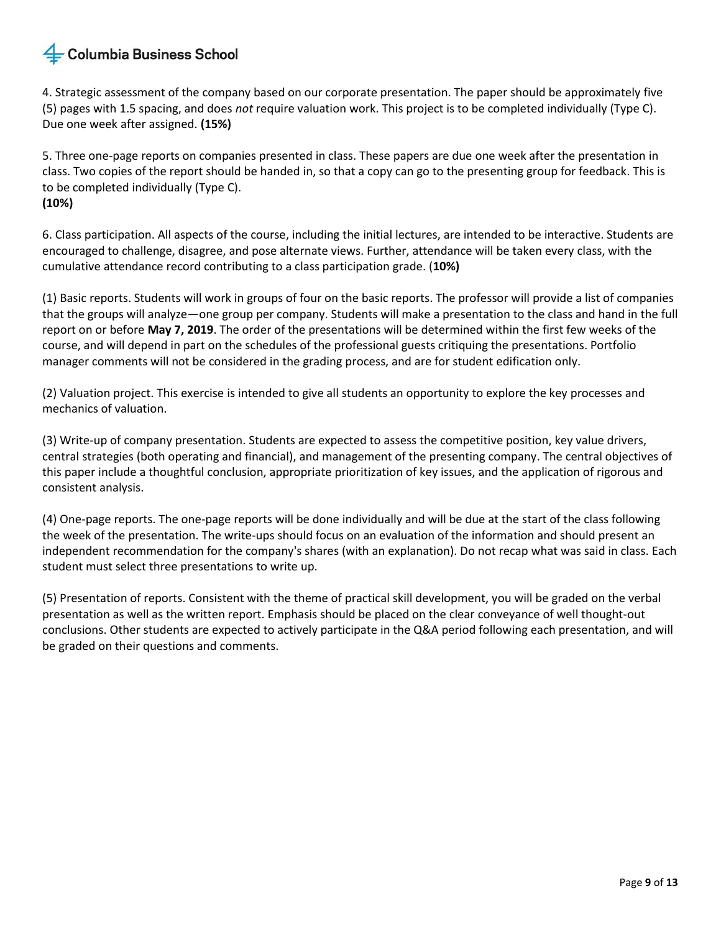4. Strategic assessment of the company based on our corporate presentation. The paper should be approximately five (5) pages with 1.5 spacing, and does *not* require valuation work. This project is to be completed individually (Type C). Due one week after assigned. **(15%)** 

5. Three one-page reports on companies presented in class. These papers are due one week after the presentation in class. Two copies of the report should be handed in, so that a copy can go to the presenting group for feedback. This is to be completed individually (Type C). **(10%)** 

6. Class participation. All aspects of the course, including the initial lectures, are intended to be interactive. Students are encouraged to challenge, disagree, and pose alternate views. Further, attendance will be taken every class, with the cumulative attendance record contributing to a class participation grade. (**10%)**

(1) Basic reports. Students will work in groups of four on the basic reports. The professor will provide a list of companies that the groups will analyze—one group per company. Students will make a presentation to the class and hand in the full report on or before **May 7, 2019**. The order of the presentations will be determined within the first few weeks of the course, and will depend in part on the schedules of the professional guests critiquing the presentations. Portfolio manager comments will not be considered in the grading process, and are for student edification only.

(2) Valuation project. This exercise is intended to give all students an opportunity to explore the key processes and mechanics of valuation.

(3) Write-up of company presentation. Students are expected to assess the competitive position, key value drivers, central strategies (both operating and financial), and management of the presenting company. The central objectives of this paper include a thoughtful conclusion, appropriate prioritization of key issues, and the application of rigorous and consistent analysis.

(4) One-page reports. The one-page reports will be done individually and will be due at the start of the class following the week of the presentation. The write-ups should focus on an evaluation of the information and should present an independent recommendation for the company's shares (with an explanation). Do not recap what was said in class. Each student must select three presentations to write up.

(5) Presentation of reports. Consistent with the theme of practical skill development, you will be graded on the verbal presentation as well as the written report. Emphasis should be placed on the clear conveyance of well thought-out conclusions. Other students are expected to actively participate in the Q&A period following each presentation, and will be graded on their questions and comments.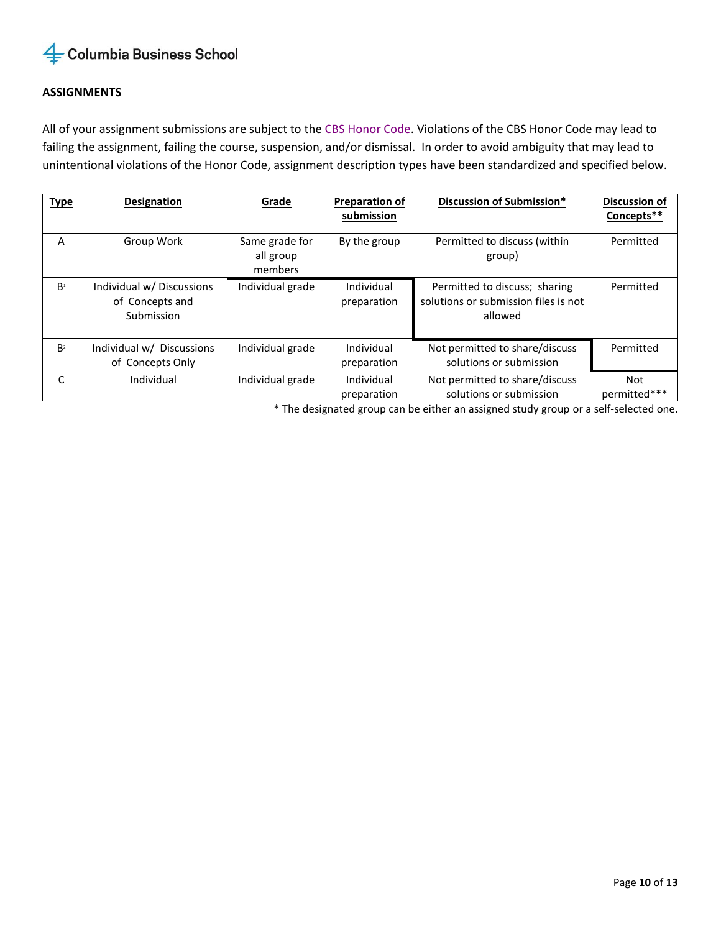## **ASSIGNMENTS**

All of your assignment submissions are subject to the [CBS Honor Code.](http://www8.gsb.columbia.edu/honor/definitions) Violations of the CBS Honor Code may lead to failing the assignment, failing the course, suspension, and/or dismissal. In order to avoid ambiguity that may lead to unintentional violations of the Honor Code, assignment description types have been standardized and specified below.

| <b>Type</b>    | <b>Designation</b>                                         | Grade                                  | <b>Preparation of</b><br>submission | Discussion of Submission*                                                        | Discussion of<br>Concepts** |
|----------------|------------------------------------------------------------|----------------------------------------|-------------------------------------|----------------------------------------------------------------------------------|-----------------------------|
| A              | Group Work                                                 | Same grade for<br>all group<br>members | By the group                        | Permitted to discuss (within<br>group)                                           | Permitted                   |
| B <sup>1</sup> | Individual w/ Discussions<br>of Concepts and<br>Submission | Individual grade                       | Individual<br>preparation           | Permitted to discuss; sharing<br>solutions or submission files is not<br>allowed | Permitted                   |
| B <sup>2</sup> | Individual w/ Discussions<br>of Concepts Only              | Individual grade                       | Individual<br>preparation           | Not permitted to share/discuss<br>solutions or submission                        | Permitted                   |
| C              | Individual                                                 | Individual grade                       | Individual<br>preparation           | Not permitted to share/discuss<br>solutions or submission                        | Not<br>permitted***         |

\* The designated group can be either an assigned study group or a self-selected one.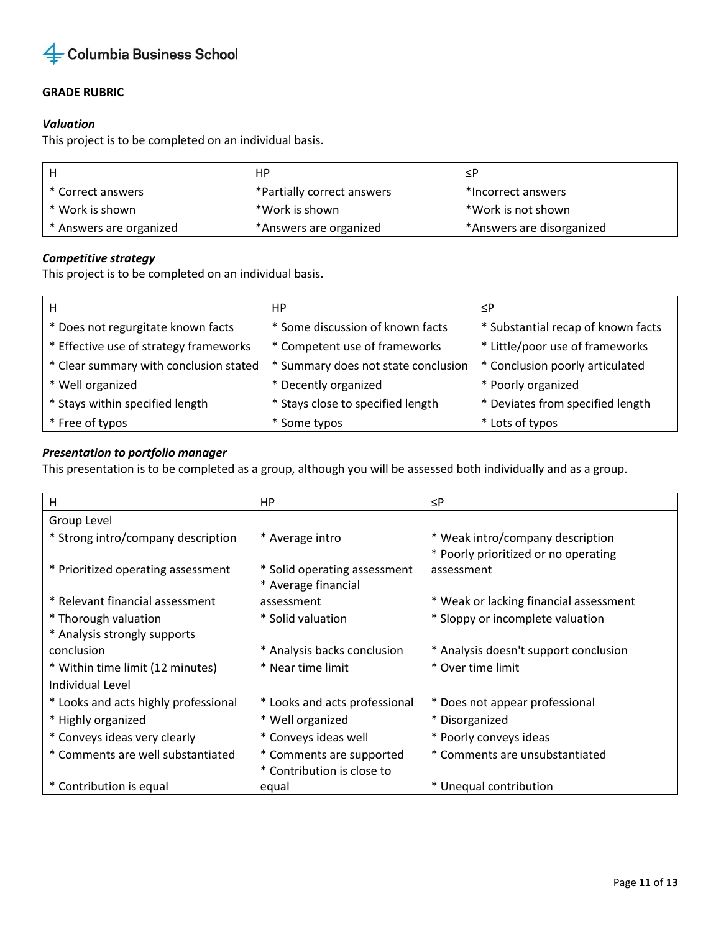

## **GRADE RUBRIC**

### *Valuation*

This project is to be completed on an individual basis.

| Н                       | HP.                        | ≺P                        |
|-------------------------|----------------------------|---------------------------|
| * Correct answers       | *Partially correct answers | *Incorrect answers        |
| * Work is shown         | *Work is shown             | *Work is not shown        |
| * Answers are organized | *Answers are organized     | *Answers are disorganized |

## *Competitive strategy*

This project is to be completed on an individual basis.

| H                                      | HP.                                 | ≤P                                 |
|----------------------------------------|-------------------------------------|------------------------------------|
| * Does not regurgitate known facts     | * Some discussion of known facts    | * Substantial recap of known facts |
| * Effective use of strategy frameworks | * Competent use of frameworks       | * Little/poor use of frameworks    |
| * Clear summary with conclusion stated | * Summary does not state conclusion | * Conclusion poorly articulated    |
| * Well organized                       | * Decently organized                | * Poorly organized                 |
| * Stays within specified length        | * Stays close to specified length   | * Deviates from specified length   |
| * Free of typos                        | * Some typos                        | * Lots of typos                    |

## *Presentation to portfolio manager*

This presentation is to be completed as a group, although you will be assessed both individually and as a group.

| H                                    | НP                            | $\leq P$                               |
|--------------------------------------|-------------------------------|----------------------------------------|
| Group Level                          |                               |                                        |
| * Strong intro/company description   | * Average intro               | * Weak intro/company description       |
|                                      |                               | * Poorly prioritized or no operating   |
| * Prioritized operating assessment   | * Solid operating assessment  | assessment                             |
|                                      | * Average financial           |                                        |
| * Relevant financial assessment      | assessment                    | * Weak or lacking financial assessment |
| * Thorough valuation                 | * Solid valuation             | * Sloppy or incomplete valuation       |
| * Analysis strongly supports         |                               |                                        |
| conclusion                           | * Analysis backs conclusion   | * Analysis doesn't support conclusion  |
| * Within time limit (12 minutes)     | * Near time limit             | * Over time limit                      |
| Individual Level                     |                               |                                        |
| * Looks and acts highly professional | * Looks and acts professional | * Does not appear professional         |
| * Highly organized                   | * Well organized              | * Disorganized                         |
| * Conveys ideas very clearly         | * Conveys ideas well          | * Poorly conveys ideas                 |
| * Comments are well substantiated    | * Comments are supported      | * Comments are unsubstantiated         |
|                                      | * Contribution is close to    |                                        |
| * Contribution is equal              | equal                         | * Unequal contribution                 |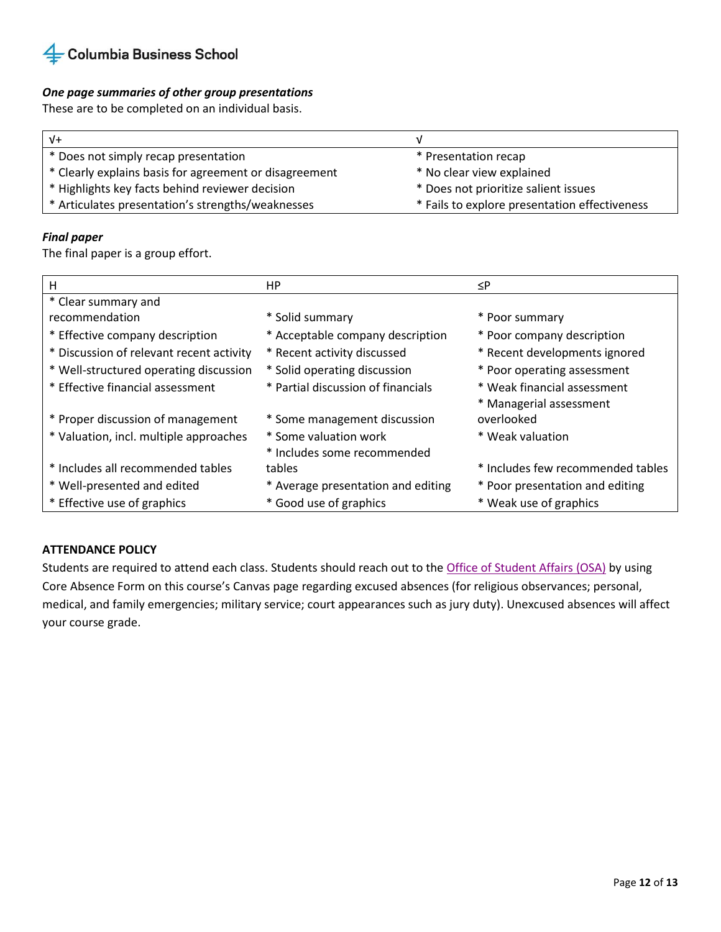

### *One page summaries of other group presentations*

These are to be completed on an individual basis.

| $V +$                                                  |                                               |
|--------------------------------------------------------|-----------------------------------------------|
| * Does not simply recap presentation                   | * Presentation recap                          |
| * Clearly explains basis for agreement or disagreement | * No clear view explained                     |
| * Highlights key facts behind reviewer decision        | * Does not prioritize salient issues          |
| * Articulates presentation's strengths/weaknesses      | * Fails to explore presentation effectiveness |

### *Final paper*

The final paper is a group effort.

| н                                        | HP.                                | ≤P                                |
|------------------------------------------|------------------------------------|-----------------------------------|
| * Clear summary and                      |                                    |                                   |
| recommendation                           | * Solid summary                    | * Poor summary                    |
| * Effective company description          | * Acceptable company description   | * Poor company description        |
| * Discussion of relevant recent activity | * Recent activity discussed        | * Recent developments ignored     |
| * Well-structured operating discussion   | * Solid operating discussion       | * Poor operating assessment       |
| * Effective financial assessment         | * Partial discussion of financials | * Weak financial assessment       |
|                                          |                                    | * Managerial assessment           |
| * Proper discussion of management        | * Some management discussion       | overlooked                        |
| * Valuation, incl. multiple approaches   | * Some valuation work              | * Weak valuation                  |
|                                          | * Includes some recommended        |                                   |
| * Includes all recommended tables        | tables                             | * Includes few recommended tables |
| * Well-presented and edited              | * Average presentation and editing | * Poor presentation and editing   |
| * Effective use of graphics              | * Good use of graphics             | * Weak use of graphics            |

### **ATTENDANCE POLICY**

Students are required to attend each class. Students should reach out to the [Office of Student Affairs \(OSA\)](https://www8.gsb.columbia.edu/mba-students/the-office-of-student-affairs) by using Core Absence Form on this course's Canvas page regarding excused absences (for religious observances; personal, medical, and family emergencies; military service; court appearances such as jury duty). Unexcused absences will affect your course grade.